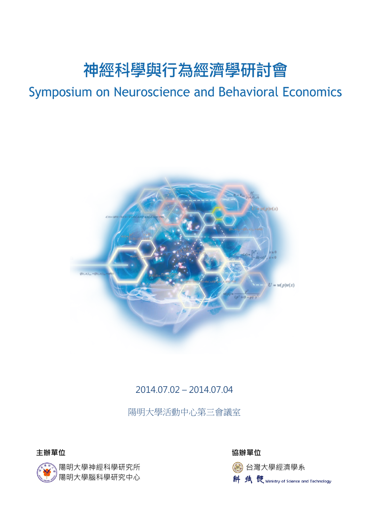# 神經科學與行為經濟學研討會

# Symposium on Neuroscience and Behavioral Economics



### 2014.07.02 – 2014.07.04

陽明大學活動中心第三會議室



**主辦單位 協辦單位**

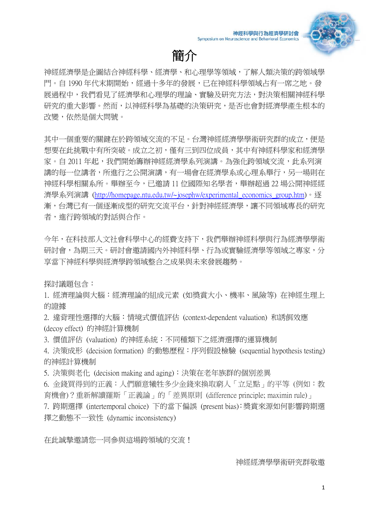

# 簡介

神經經濟學是企圖結合神經科學、經濟學、和心理學等領域,了解人類決策的跨領域學 門。自 1990年代末期開始,經過十多年的發展,已在神經科學領域占有一席之地。發 展過程中,我們看見了經濟學和心理學的理論、實驗及研究方法,對決策相關神經科學 研究的重大影響。然而,以神經科學為基礎的決策研究,是否也會對經濟學產生根本的 改變,依然是個大問號。

其中一個重要的關鍵在於跨領域交流的不足。台灣神經經濟學學術研究群的成立, **便是** 想要在此挑戰中有所突破。成立之初,僅有三到四位成員,其中有神經科學家和經濟學 家。自 2011 年起,我們開始籌辦神經經濟學系列演講。為強化跨領域交流,此系列演 講的每一位講者,所進行之公開演講,有一場會在經濟學系或心理系舉行,另一場則在 神經科學相關系所。舉辦至今,已邀請 11 位國際知名學者,舉辦超過 22 場公開神經經 濟學系列演講 (http://homepage.ntu.edu.tw/~josephw/experimental economics group.htm)。逐 漸,台灣已有一個逐漸成型的研究交流平台,針對神經經濟學,讓不同領域專長的研究 者,進行跨領域的對話與合作。

今年,在科技部人文社會科學中心的經費支持下,我們舉辦神經科學與行為經濟學學術 研討會,為期三天。研討會邀請國內外神經科學、行為或實驗經濟學等領域之專家,分 享當下神經科學與經濟學跨領域整合之成果與未來發展趨勢。

探討議題包含:

1. 經濟理論與大腦:經濟理論的組成元素 (如獎賞大小、機率、風險等) 在神經生理上 的證據

2. 違背理性選擇的大腦:情境式價值評估 (context-dependent valuation) 和誘餌效應 (decoy effect) 的神經計算機制

3. 價值評估 (valuation) 的神經系統:不同種類下之經濟選擇的運算機制

4. 決策成形 (decision formation) 的動態歷程:序列假設檢驗 (sequential hypothesis testing) 的神經計算機制

5. 決策與老化 (decision making and aging):決策在老年族群的個別差異

6. 金錢買得到的正義:人們願意犧牲多少金錢來換取窮人「立足點」的平等 (例如:教 育機會)?重新解讀羅斯「正義論」的「差異原則 (difference principle; maximin rule)」

7. 跨期選擇 (intertemporal choice) 下的當下偏誤 (present bias):奬賞來源如何影響跨期選 擇之動態不一致性 (dynamic inconsistency)

在此誠摯邀請您一同參與這場跨領域的交流!

神經經濟學學術研究群敬邀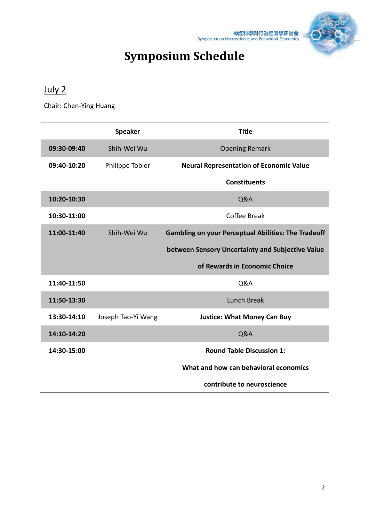

# **Symposium Schedule**

# July 2

Chair: Chen-Ying Huang

|             | <b>Speaker</b>     | <b>Title</b>                                               |
|-------------|--------------------|------------------------------------------------------------|
| 09:30-09:40 | Shih-Wei Wu        | <b>Opening Remark</b>                                      |
| 09:40-10:20 | Philippe Tobler    | <b>Neural Representation of Economic Value</b>             |
|             |                    | <b>Constituents</b>                                        |
| 10:20-10:30 |                    | Q&A                                                        |
| 10:30-11:00 |                    | Coffee Break                                               |
| 11:00-11:40 | Shih-Wei Wu        | <b>Gambling on your Perceptual Abilities: The Tradeoff</b> |
|             |                    | between Sensory Uncertainty and Subjective Value           |
|             |                    | of Rewards in Economic Choice                              |
| 11:40-11:50 |                    | <b>Q&amp;A</b>                                             |
| 11:50-13:30 |                    | Lunch Break                                                |
| 13:30-14:10 | Joseph Tao-Yi Wang | <b>Justice: What Money Can Buy</b>                         |
| 14:10-14:20 |                    | <b>Q&amp;A</b>                                             |
| 14:30-15:00 |                    | <b>Round Table Discussion 1:</b>                           |
|             |                    | What and how can behavioral economics                      |
|             |                    | contribute to neuroscience                                 |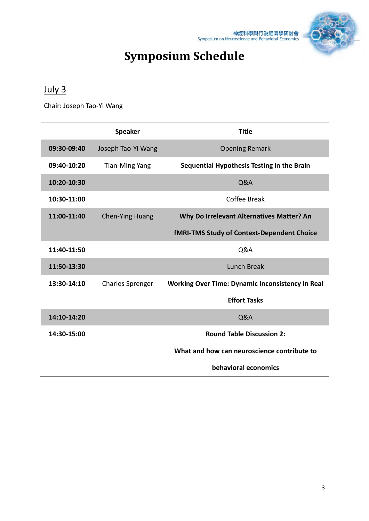

# **Symposium Schedule**

# July 3

Chair: Joseph Tao-Yi Wang

|             | <b>Speaker</b>          | <b>Title</b>                                            |
|-------------|-------------------------|---------------------------------------------------------|
| 09:30-09:40 | Joseph Tao-Yi Wang      | <b>Opening Remark</b>                                   |
| 09:40-10:20 | <b>Tian-Ming Yang</b>   | Sequential Hypothesis Testing in the Brain              |
| 10:20-10:30 |                         | <b>Q&amp;A</b>                                          |
| 10:30-11:00 |                         | Coffee Break                                            |
| 11:00-11:40 | <b>Chen-Ying Huang</b>  | Why Do Irrelevant Alternatives Matter? An               |
|             |                         | <b>fMRI-TMS Study of Context-Dependent Choice</b>       |
| 11:40-11:50 |                         | <b>Q&amp;A</b>                                          |
| 11:50-13:30 |                         | Lunch Break                                             |
| 13:30-14:10 | <b>Charles Sprenger</b> | <b>Working Over Time: Dynamic Inconsistency in Real</b> |
|             |                         | <b>Effort Tasks</b>                                     |
| 14:10-14:20 |                         | <b>Q&amp;A</b>                                          |
| 14:30-15:00 |                         | <b>Round Table Discussion 2:</b>                        |
|             |                         | What and how can neuroscience contribute to             |
|             |                         | behavioral economics                                    |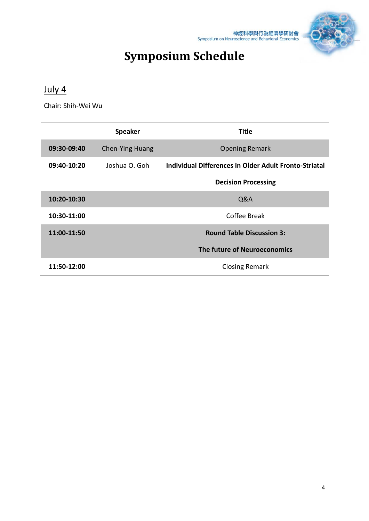



# **Symposium Schedule**

## July 4

Chair: Shih-Wei Wu

|             | <b>Speaker</b>         | Title                                                 |  |
|-------------|------------------------|-------------------------------------------------------|--|
| 09:30-09:40 | <b>Chen-Ying Huang</b> | <b>Opening Remark</b>                                 |  |
| 09:40-10:20 | Joshua O. Goh          | Individual Differences in Older Adult Fronto-Striatal |  |
|             |                        | <b>Decision Processing</b>                            |  |
| 10:20-10:30 |                        | Q&A                                                   |  |
| 10:30-11:00 |                        | Coffee Break                                          |  |
| 11:00-11:50 |                        | <b>Round Table Discussion 3:</b>                      |  |
|             |                        | The future of Neuroeconomics                          |  |
| 11:50-12:00 |                        | <b>Closing Remark</b>                                 |  |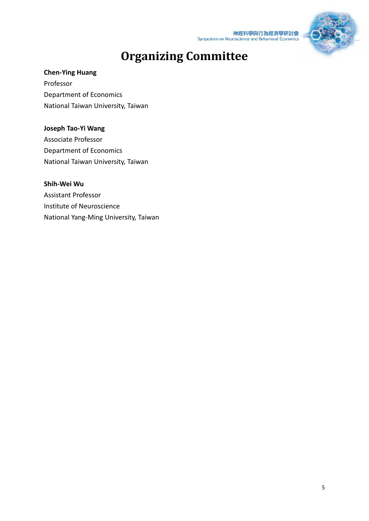



# **Organizing Committee**

#### **Chen-Ying Huang**

Professor Department of Economics National Taiwan University, Taiwan

#### **Joseph Tao-Yi Wang**

Associate Professor Department of Economics National Taiwan University, Taiwan

#### **Shih-Wei Wu**

Assistant Professor Institute of Neuroscience National Yang-Ming University, Taiwan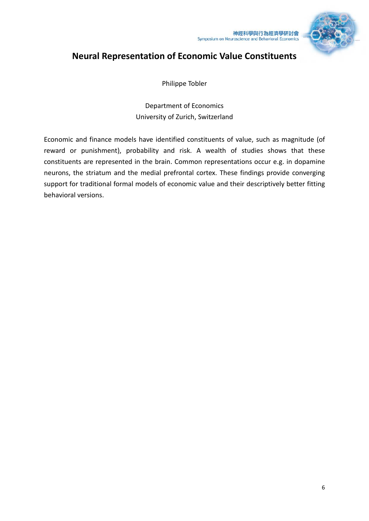

## **Neural Representation of Economic Value Constituents**

Philippe Tobler

Department of Economics University of Zurich, Switzerland

Economic and finance models have identified constituents of value, such as magnitude (of reward or punishment), probability and risk. A wealth of studies shows that these constituents are represented in the brain. Common representations occur e.g. in dopamine neurons, the striatum and the medial prefrontal cortex. These findings provide converging support for traditional formal models of economic value and their descriptively better fitting behavioral versions.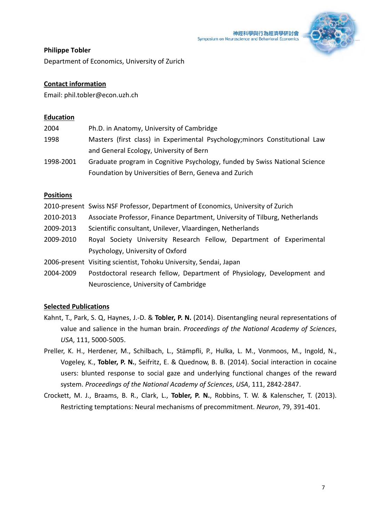

#### **Philippe Tobler**

Department of Economics, University of Zurich

#### **Contact information**

Email: phil.tobler@econ.uzh.ch

#### **Education**

| 2004      | Ph.D. in Anatomy, University of Cambridge                                   |
|-----------|-----------------------------------------------------------------------------|
| 1998      | Masters (first class) in Experimental Psychology; minors Constitutional Law |
|           | and General Ecology, University of Bern                                     |
| 1998-2001 | Graduate program in Cognitive Psychology, funded by Swiss National Science  |
|           | Foundation by Universities of Bern, Geneva and Zurich                       |

#### **Positions**

|           | 2010-present Swiss NSF Professor, Department of Economics, University of Zurich |
|-----------|---------------------------------------------------------------------------------|
| 2010-2013 | Associate Professor, Finance Department, University of Tilburg, Netherlands     |
| 2009-2013 | Scientific consultant, Unilever, Vlaardingen, Netherlands                       |
| 2009-2010 | Royal Society University Research Fellow, Department of Experimental            |
|           | Psychology, University of Oxford                                                |
|           | 2006-present Visiting scientist, Tohoku University, Sendai, Japan               |
| 2004-2009 | Postdoctoral research fellow, Department of Physiology, Development and         |
|           | Neuroscience, University of Cambridge                                           |

- Kahnt, T., Park, S. Q, Haynes, J.-D. & **Tobler, P. N.** (2014). Disentangling neural representations of value and salience in the human brain. *Proceedings of the National Academy of Sciences*, *USA*, 111, 5000-5005.
- Preller, K. H., Herdener, M., Schilbach, L., Stämpfli, P., Hulka, L. M., Vonmoos, M., Ingold, N., Vogeley, K., **Tobler, P. N.**, Seifritz, E. & Quednow, B. B. (2014). Social interaction in cocaine users: blunted response to social gaze and underlying functional changes of the reward system. *Proceedings of the National Academy of Sciences*, *USA*, 111, 2842-2847.
- Crockett, M. J., Braams, B. R., Clark, L., **Tobler, P. N.**, Robbins, T. W. & Kalenscher, T. (2013). Restricting temptations: Neural mechanisms of precommitment. *Neuron*, 79, 391-401.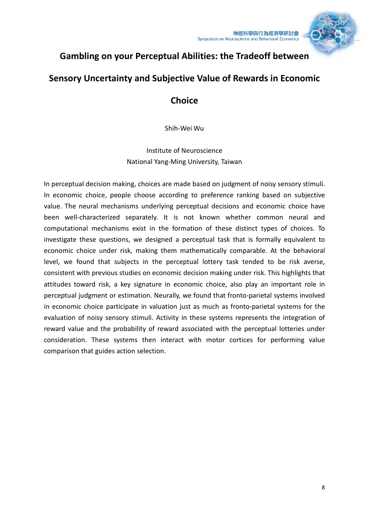

## **Gambling on your Perceptual Abilities: the Tradeoff between**

### **Sensory Uncertainty and Subjective Value of Rewards in Economic**

### **Choice**

Shih-Wei Wu

Institute of Neuroscience National Yang-Ming University, Taiwan

In perceptual decision making, choices are made based on judgment of noisy sensory stimuli. In economic choice, people choose according to preference ranking based on subjective value. The neural mechanisms underlying perceptual decisions and economic choice have been well-characterized separately. It is not known whether common neural and computational mechanisms exist in the formation of these distinct types of choices. To investigate these questions, we designed a perceptual task that is formally equivalent to economic choice under risk, making them mathematically comparable. At the behavioral level, we found that subjects in the perceptual lottery task tended to be risk averse, consistent with previous studies on economic decision making under risk. This highlights that attitudes toward risk, a key signature in economic choice, also play an important role in perceptual judgment or estimation. Neurally, we found that fronto-parietal systems involved in economic choice participate in valuation just as much as fronto-parietal systems for the evaluation of noisy sensory stimuli. Activity in these systems represents the integration of reward value and the probability of reward associated with the perceptual lotteries under consideration. These systems then interact with motor cortices for performing value comparison that guides action selection.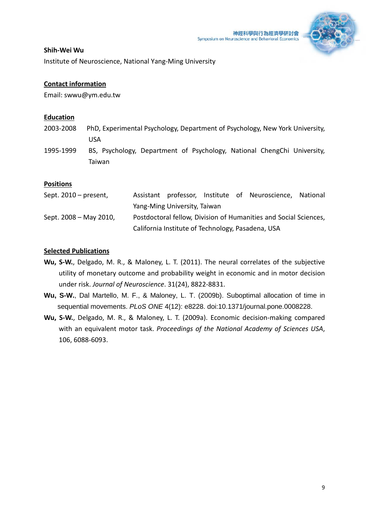

#### **Shih-Wei Wu**

Institute of Neuroscience, National Yang-Ming University

#### **Contact information**

Email: swwu@ym.edu.tw

#### **Education**

- 2003-2008 PhD, Experimental Psychology, Department of Psychology, New York University, USA
- 1995-1999 BS, Psychology, Department of Psychology, National ChengChi University, Taiwan

#### **Positions**

| Sept. $2010$ – present, |                                                   |  | Assistant professor, Institute of Neuroscience, National         |  |
|-------------------------|---------------------------------------------------|--|------------------------------------------------------------------|--|
|                         | Yang-Ming University, Taiwan                      |  |                                                                  |  |
| Sept. 2008 – May 2010,  |                                                   |  | Postdoctoral fellow, Division of Humanities and Social Sciences, |  |
|                         | California Institute of Technology, Pasadena, USA |  |                                                                  |  |

- **Wu, S-W.**, Delgado, M. R., & Maloney, L. T. (2011). The neural correlates of the subjective utility of monetary outcome and probability weight in economic and in motor decision under risk. *Journal of Neuroscience*. 31(24), 8822-8831.
- **Wu, S-W.**, Dal Martello, M. F., & Maloney, L. T. (2009b). Suboptimal allocation of time in sequential movements. *PLoS ONE* 4(12): e8228. doi:10.1371/journal.pone.0008228.
- **Wu, S-W.**, Delgado, M. R., & Maloney, L. T. (2009a). Economic decision-making compared with an equivalent motor task. *Proceedings of the National Academy of Sciences USA*, 106, 6088-6093.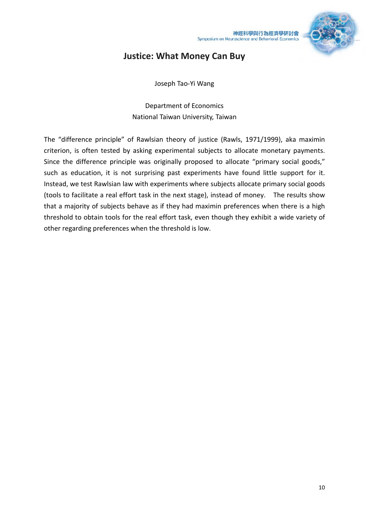

### **Justice: What Money Can Buy**

Joseph Tao-Yi Wang

Department of Economics National Taiwan University, Taiwan

The "difference principle" of Rawlsian theory of justice (Rawls, 1971/1999), aka maximin criterion, is often tested by asking experimental subjects to allocate monetary payments. Since the difference principle was originally proposed to allocate "primary social goods," such as education, it is not surprising past experiments have found little support for it. Instead, we test Rawlsian law with experiments where subjects allocate primary social goods (tools to facilitate a real effort task in the next stage), instead of money. The results show that a majority of subjects behave as if they had maximin preferences when there is a high threshold to obtain tools for the real effort task, even though they exhibit a wide variety of other regarding preferences when the threshold is low.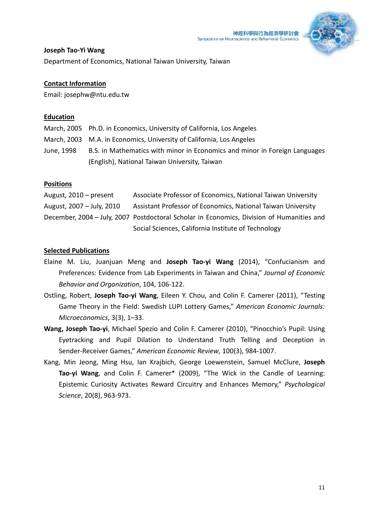

#### **Joseph Tao-Yi Wang**

Department of Economics, National Taiwan University, Taiwan

#### **Contact Information**

Email: josephw@ntu.edu.tw

#### **Education**

March, 2005 Ph.D. in Economics, University of California, Los Angeles March, 2003 M.A. in Economics, University of California, Los Angeles June, 1998 B.S. in Mathematics with minor in Economics and minor in Foreign Languages (English), National Taiwan University, Taiwan

#### **Positions**

August, 2010 – present Associate Professor of Economics, National Taiwan University August, 2007 – July, 2010 Assistant Professor of Economics, National Taiwan University December, 2004 – July, 2007 Postdoctoral Scholar in Economics, Division of Humanities and Social Sciences, California Institute of Technology

- Elaine M. Liu, Juanjuan Meng and **Joseph Tao-yi Wang** (2014), "Confucianism and Preferences: Evidence from Lab Experiments in Taiwan and China," *Journal of Economic Behavior and Organization*, 104, 106-122.
- Ostling, Robert, **Joseph Tao-yi Wang**, Eileen Y. Chou, and Colin F. Camerer (2011), "Testing Game Theory in the Field: Swedish LUPI Lottery Games," *American Economic Journals: Microeconomics*, 3(3), 1–33.
- **Wang, Joseph Tao-yi**, Michael Spezio and Colin F. Camerer (2010), "Pinocchio's Pupil: Using Eyetracking and Pupil Dilation to Understand Truth Telling and Deception in Sender-Receiver Games," *American Economic Review*, 100(3), 984-1007.
- Kang, Min Jeong, Ming Hsu, Ian Krajbich, George Loewenstein, Samuel McClure, **Joseph Tao-yi Wang**, and Colin F. Camerer\* (2009), "The Wick in the Candle of Learning: Epistemic Curiosity Activates Reward Circuitry and Enhances Memory," *Psychological Science*, 20(8), 963-973.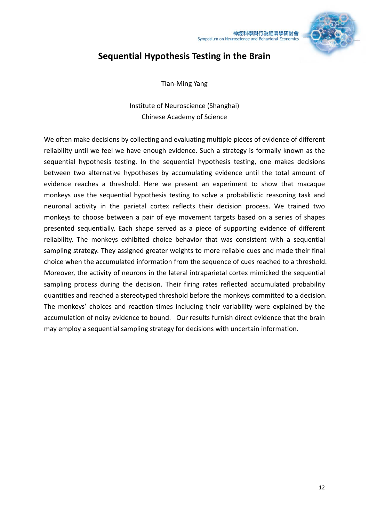

# **Sequential Hypothesis Testing in the Brain**

Tian-Ming Yang

Institute of Neuroscience (Shanghai) Chinese Academy of Science

We often make decisions by collecting and evaluating multiple pieces of evidence of different reliability until we feel we have enough evidence. Such a strategy is formally known as the sequential hypothesis testing. In the sequential hypothesis testing, one makes decisions between two alternative hypotheses by accumulating evidence until the total amount of evidence reaches a threshold. Here we present an experiment to show that macaque monkeys use the sequential hypothesis testing to solve a probabilistic reasoning task and neuronal activity in the parietal cortex reflects their decision process. We trained two monkeys to choose between a pair of eye movement targets based on a series of shapes presented sequentially. Each shape served as a piece of supporting evidence of different reliability. The monkeys exhibited choice behavior that was consistent with a sequential sampling strategy. They assigned greater weights to more reliable cues and made their final choice when the accumulated information from the sequence of cues reached to a threshold. Moreover, the activity of neurons in the lateral intraparietal cortex mimicked the sequential sampling process during the decision. Their firing rates reflected accumulated probability quantities and reached a stereotyped threshold before the monkeys committed to a decision. The monkeys' choices and reaction times including their variability were explained by the accumulation of noisy evidence to bound. Our results furnish direct evidence that the brain may employ a sequential sampling strategy for decisions with uncertain information.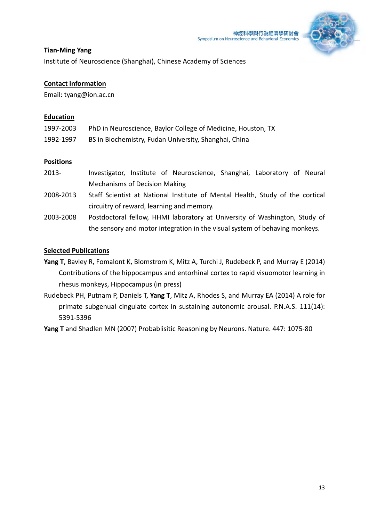

#### **Tian-Ming Yang**

Institute of Neuroscience (Shanghai), Chinese Academy of Sciences

#### **Contact information**

Email: tyang@ion.ac.cn

#### **Education**

| 1997-2003 | PhD in Neuroscience, Baylor College of Medicine, Houston, TX |
|-----------|--------------------------------------------------------------|
| 1992-1997 | BS in Biochemistry, Fudan University, Shanghai, China        |

#### **Positions**

- 2013- Investigator, Institute of Neuroscience, Shanghai, Laboratory of Neural Mechanisms of Decision Making
- 2008-2013 Staff Scientist at National Institute of Mental Health, Study of the cortical circuitry of reward, learning and memory.
- 2003-2008 Postdoctoral fellow, HHMI laboratory at University of Washington, Study of the sensory and motor integration in the visual system of behaving monkeys.

#### **Selected Publications**

- **Yang T**, Bavley R, Fomalont K, Blomstrom K, Mitz A, Turchi J, Rudebeck P, and Murray E (2014) Contributions of the hippocampus and entorhinal cortex to rapid visuomotor learning in rhesus monkeys, Hippocampus (in press)
- Rudebeck PH, Putnam P, Daniels T, **Yang T**, Mitz A, Rhodes S, and Murray EA (2014) A role for primate subgenual cingulate cortex in sustaining autonomic arousal. P.N.A.S. 111(14): 5391-5396

**Yang T** and Shadlen MN (2007) Probablisitic Reasoning by Neurons. Nature. 447: 1075-80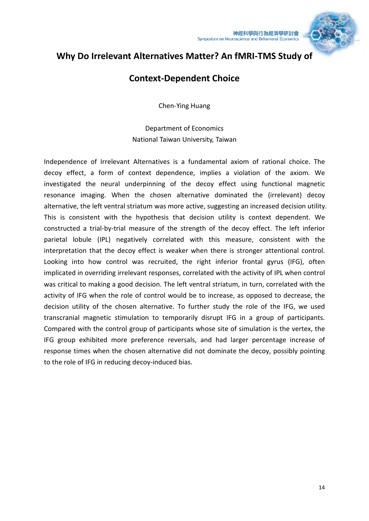

## **Why Do Irrelevant Alternatives Matter? An fMRI-TMS Study of**

### **Context-Dependent Choice**

Chen-Ying Huang

Department of Economics National Taiwan University, Taiwan

Independence of Irrelevant Alternatives is a fundamental axiom of rational choice. The decoy effect, a form of context dependence, implies a violation of the axiom. We investigated the neural underpinning of the decoy effect using functional magnetic resonance imaging. When the chosen alternative dominated the (irrelevant) decoy alternative, the left ventral striatum was more active, suggesting an increased decision utility. This is consistent with the hypothesis that decision utility is context dependent. We constructed a trial-by-trial measure of the strength of the decoy effect. The left inferior parietal lobule (IPL) negatively correlated with this measure, consistent with the interpretation that the decoy effect is weaker when there is stronger attentional control. Looking into how control was recruited, the right inferior frontal gyrus (IFG), often implicated in overriding irrelevant responses, correlated with the activity of IPL when control was critical to making a good decision. The left ventral striatum, in turn, correlated with the activity of IFG when the role of control would be to increase, as opposed to decrease, the decision utility of the chosen alternative. To further study the role of the IFG, we used transcranial magnetic stimulation to temporarily disrupt IFG in a group of participants. Compared with the control group of participants whose site of simulation is the vertex, the IFG group exhibited more preference reversals, and had larger percentage increase of response times when the chosen alternative did not dominate the decoy, possibly pointing to the role of IFG in reducing decoy-induced bias.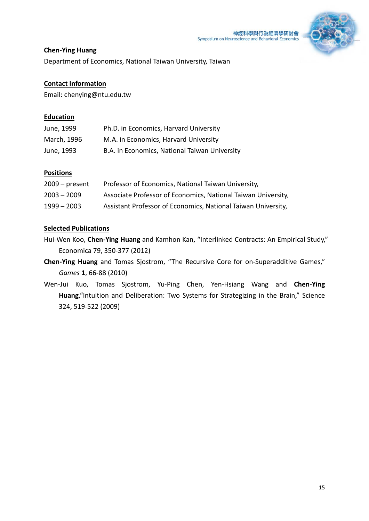

#### **Chen-Ying Huang**

Department of Economics, National Taiwan University, Taiwan

#### **Contact Information**

Email: chenying@ntu.edu.tw

#### **Education**

| June, 1999  | Ph.D. in Economics, Harvard University        |
|-------------|-----------------------------------------------|
| March, 1996 | M.A. in Economics, Harvard University         |
| June, 1993  | B.A. in Economics, National Taiwan University |

#### **Positions**

| $2009$ – present | Professor of Economics, National Taiwan University,           |
|------------------|---------------------------------------------------------------|
| $2003 - 2009$    | Associate Professor of Economics, National Taiwan University, |
| $1999 - 2003$    | Assistant Professor of Economics, National Taiwan University, |

- Hui-Wen Koo, **Chen-Ying Huang** and Kamhon Kan, "Interlinked Contracts: An Empirical Study," Economica 79, 350-377 (2012)
- **Chen-Ying Huang** and Tomas Sjostrom, "The Recursive Core for on-Superadditive Games," *Games* **1**, 66-88 (2010)
- Wen-Jui Kuo, Tomas Sjostrom, Yu-Ping Chen, Yen-Hsiang Wang and **Chen-Ying Huang**,"Intuition and Deliberation: Two Systems for Strategizing in the Brain," Science 324, 519-522 (2009)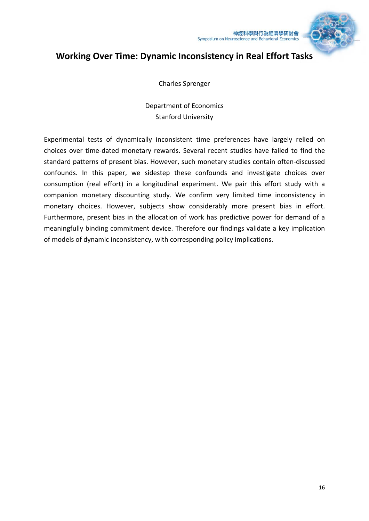

## **Working Over Time: Dynamic Inconsistency in Real Effort Tasks**

Charles Sprenger

Department of Economics Stanford University

Experimental tests of dynamically inconsistent time preferences have largely relied on choices over time-dated monetary rewards. Several recent studies have failed to find the standard patterns of present bias. However, such monetary studies contain often-discussed confounds. In this paper, we sidestep these confounds and investigate choices over consumption (real effort) in a longitudinal experiment. We pair this effort study with a companion monetary discounting study. We confirm very limited time inconsistency in monetary choices. However, subjects show considerably more present bias in effort. Furthermore, present bias in the allocation of work has predictive power for demand of a meaningfully binding commitment device. Therefore our findings validate a key implication of models of dynamic inconsistency, with corresponding policy implications.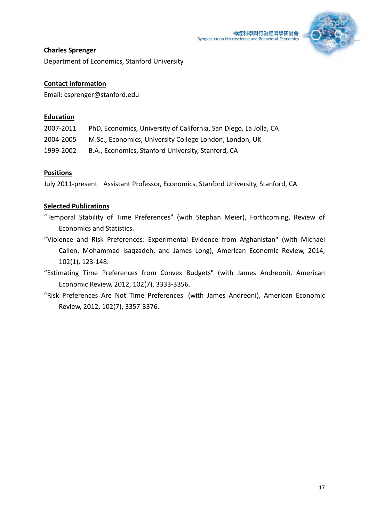

#### **Charles Sprenger**

Department of Economics, Stanford University

#### **Contact Information**

Email: csprenger@stanford.edu

#### **Education**

| 2007-2011 | PhD, Economics, University of California, San Diego, La Jolla, CA |
|-----------|-------------------------------------------------------------------|
| 2004-2005 | M.Sc., Economics, University College London, London, UK           |
| 1999-2002 | B.A., Economics, Stanford University, Stanford, CA                |

#### **Positions**

July 2011-present Assistant Professor, Economics, Stanford University, Stanford, CA

- "Temporal Stability of Time Preferences" (with Stephan Meier), Forthcoming, Review of Economics and Statistics.
- "Violence and Risk Preferences: Experimental Evidence from Afghanistan" (with Michael Callen, Mohammad Isaqzadeh, and James Long), American Economic Review, 2014, 102(1), 123-148.
- "Estimating Time Preferences from Convex Budgets" (with James Andreoni), American Economic Review, 2012, 102(7), 3333-3356.
- "Risk Preferences Are Not Time Preferences' (with James Andreoni), American Economic Review, 2012, 102(7), 3357-3376.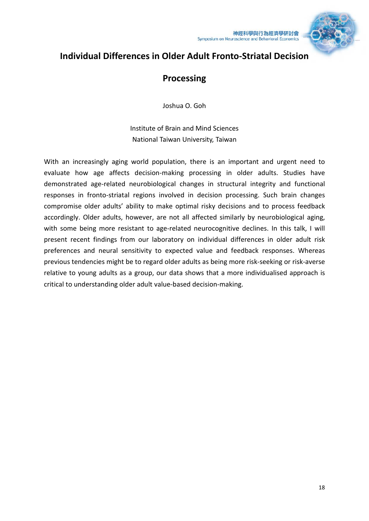

## **Individual Differences in Older Adult Fronto-Striatal Decision**

## **Processing**

Joshua O. Goh

Institute of Brain and Mind Sciences National Taiwan University, Taiwan

With an increasingly aging world population, there is an important and urgent need to evaluate how age affects decision-making processing in older adults. Studies have demonstrated age-related neurobiological changes in structural integrity and functional responses in fronto-striatal regions involved in decision processing. Such brain changes compromise older adults' ability to make optimal risky decisions and to process feedback accordingly. Older adults, however, are not all affected similarly by neurobiological aging, with some being more resistant to age-related neurocognitive declines. In this talk, I will present recent findings from our laboratory on individual differences in older adult risk preferences and neural sensitivity to expected value and feedback responses. Whereas previous tendencies might be to regard older adults as being more risk-seeking or risk-averse relative to young adults as a group, our data shows that a more individualised approach is critical to understanding older adult value-based decision-making.